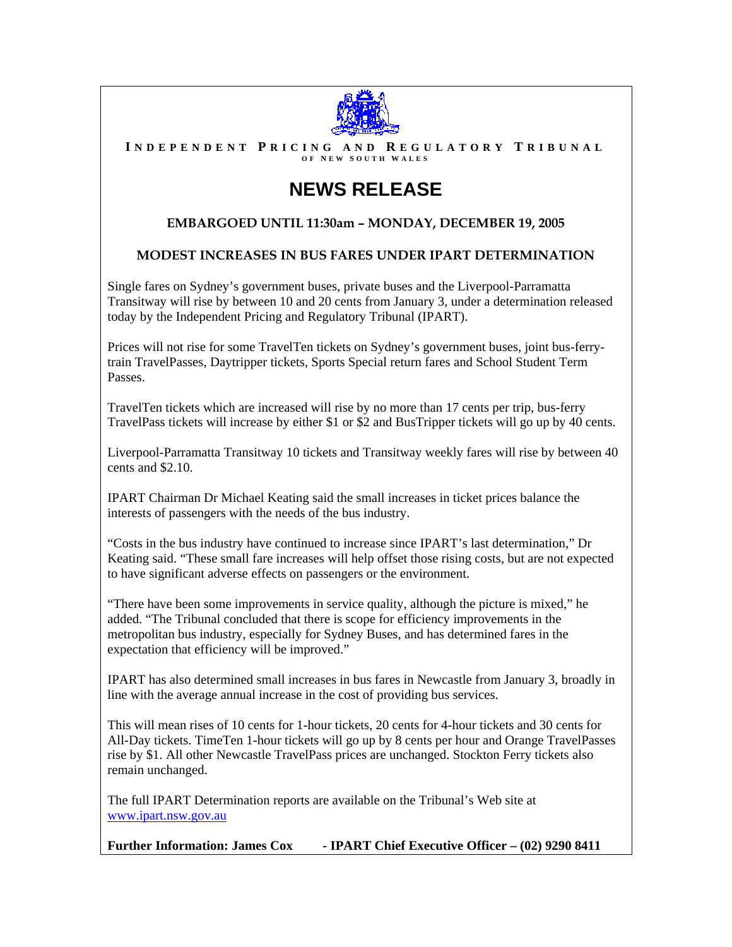

**I NDEPENDENT P RICING AND R EGULATORY T RIBUNAL O F N EW S OUTH W ALES** 

# **NEWS RELEASE**

### **EMBARGOED UNTIL 11:30am – MONDAY, DECEMBER 19, 2005**

#### **MODEST INCREASES IN BUS FARES UNDER IPART DETERMINATION**

Single fares on Sydney's government buses, private buses and the Liverpool-Parramatta Transitway will rise by between 10 and 20 cents from January 3, under a determination released today by the Independent Pricing and Regulatory Tribunal (IPART).

Prices will not rise for some TravelTen tickets on Sydney's government buses, joint bus-ferrytrain TravelPasses, Daytripper tickets, Sports Special return fares and School Student Term Passes.

TravelTen tickets which are increased will rise by no more than 17 cents per trip, bus-ferry TravelPass tickets will increase by either \$1 or \$2 and BusTripper tickets will go up by 40 cents.

Liverpool-Parramatta Transitway 10 tickets and Transitway weekly fares will rise by between 40 cents and \$2.10.

IPART Chairman Dr Michael Keating said the small increases in ticket prices balance the interests of passengers with the needs of the bus industry.

"Costs in the bus industry have continued to increase since IPART's last determination," Dr Keating said. "These small fare increases will help offset those rising costs, but are not expected to have significant adverse effects on passengers or the environment.

"There have been some improvements in service quality, although the picture is mixed," he added. "The Tribunal concluded that there is scope for efficiency improvements in the metropolitan bus industry, especially for Sydney Buses, and has determined fares in the expectation that efficiency will be improved."

IPART has also determined small increases in bus fares in Newcastle from January 3, broadly in line with the average annual increase in the cost of providing bus services.

This will mean rises of 10 cents for 1-hour tickets, 20 cents for 4-hour tickets and 30 cents for All-Day tickets. TimeTen 1-hour tickets will go up by 8 cents per hour and Orange TravelPasses rise by \$1. All other Newcastle TravelPass prices are unchanged. Stockton Ferry tickets also remain unchanged.

The full IPART Determination reports are available on the Tribunal's Web site at [www.ipart.nsw.gov.au](http://www.ipart.nsw.gov.au/)

**Further Information: James Cox - IPART Chief Executive Officer – (02) 9290 8411**